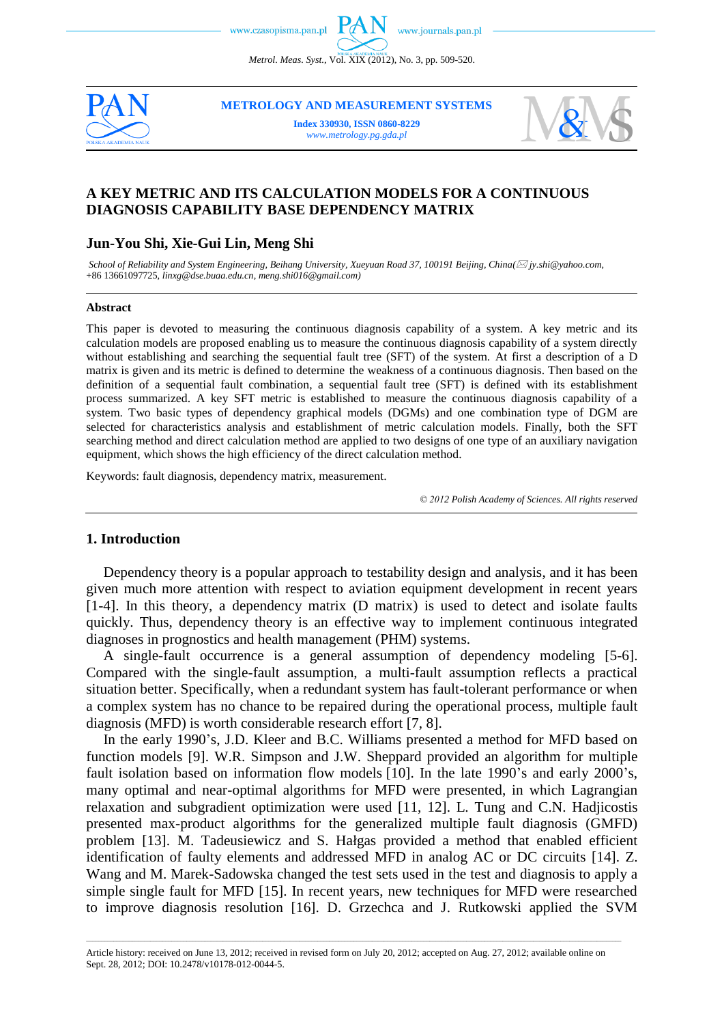*Metrol. Meas. Syst.*, Vol. XIX (2012), No. 3, pp. 509-520.



**METROLOGY AND MEASUREMENT SYSTEMS**

**Index 330930, ISSN 0860-8229** *www.metrology.pg.gda.pl*



# **A KEY METRIC AND ITS CALCULATION MODELS FOR A CONTINUOUS DIAGNOSIS CAPABILITY BASE DEPENDENCY MATRIX**

# **Jun-You Shi, Xie-Gui Lin, Meng Shi**

*School of Reliability and System Engineering, Beihang University, Xueyuan Road 37, 100191 Beijing, China( [jy.shi@yahoo.com,](mailto:jy.shi@yahoo.com)* +86 13661097725, *[linxg@dse.buaa.edu.cn,](mailto:linxg@dse.buaa.edu.cn) meng.shi016@gmail.com)*

#### **Abstract**

This paper is devoted to measuring the continuous diagnosis capability of a system. A key metric and its calculation models are proposed enabling us to measure the continuous diagnosis capability of a system directly without establishing and searching the sequential fault tree (SFT) of the system. At first a description of a D matrix is given and its metric is defined to determine the weakness of a continuous diagnosis. Then based on the definition of a sequential fault combination, a sequential fault tree (SFT) is defined with its establishment process summarized. A key SFT metric is established to measure the continuous diagnosis capability of a system. Two basic types of dependency graphical models (DGMs) and one combination type of DGM are selected for characteristics analysis and establishment of metric calculation models. Finally, both the SFT searching method and direct calculation method are applied to two designs of one type of an auxiliary navigation equipment, which shows the high efficiency of the direct calculation method.

Keywords: fault diagnosis, dependency matrix, measurement.

*© 2012 Polish Academy of Sciences. All rights reserved*

# **1. Introduction**

Dependency theory is a popular approach to testability design and analysis, and it has been given much more attention with respect to aviation equipment development in recent years [1-4]. In this theory, a dependency matrix (D matrix) is used to detect and isolate faults quickly. Thus, dependency theory is an effective way to implement continuous integrated diagnoses in prognostics and health management (PHM) systems.

A single-fault occurrence is a general assumption of dependency modeling [5-6]. Compared with the single-fault assumption, a multi-fault assumption reflects a practical situation better. Specifically, when a redundant system has fault-tolerant performance or when a complex system has no chance to be repaired during the operational process, multiple fault diagnosis (MFD) is worth considerable research effort [7, 8].

In the early 1990's, J.D. Kleer and B.C. Williams presented a method for MFD based on function models [9]. W.R. Simpson and J.W. Sheppard provided an algorithm for multiple fault isolation based on information flow models [10]. In the late 1990's and early 2000's, many optimal and near-optimal algorithms for MFD were presented, in which Lagrangian relaxation and subgradient optimization were used [11, 12]. L. Tung and C.N. Hadjicostis presented max-product algorithms for the generalized multiple fault diagnosis (GMFD) problem [13]. M. Tadeusiewicz and S. Hałgas provided a method that enabled efficient identification of faulty elements and addressed MFD in analog AC or DC circuits [14]. Z. Wang and M. Marek-Sadowska changed the test sets used in the test and diagnosis to apply a simple single fault for MFD [15]. In recent years, new techniques for MFD were researched to improve diagnosis resolution [16]. D. Grzechca and J. Rutkowski applied the SVM

\_\_\_\_\_\_\_\_\_\_\_\_\_\_\_\_\_\_\_\_\_\_\_\_\_\_\_\_\_\_\_\_\_\_\_\_\_\_\_\_\_\_\_\_\_\_\_\_\_\_\_\_\_\_\_\_\_\_\_\_\_\_\_\_\_\_\_\_\_\_\_\_\_\_\_\_\_\_\_\_\_\_\_\_\_\_\_\_\_\_\_\_\_\_\_\_\_\_\_\_\_\_\_\_\_\_\_\_\_\_\_\_\_\_\_\_\_\_\_\_\_\_\_\_\_\_\_\_\_\_\_\_\_\_\_\_\_\_\_\_\_\_\_\_\_\_\_\_\_\_\_\_\_\_\_\_\_\_\_\_\_\_\_\_\_\_\_\_\_\_\_\_\_\_\_\_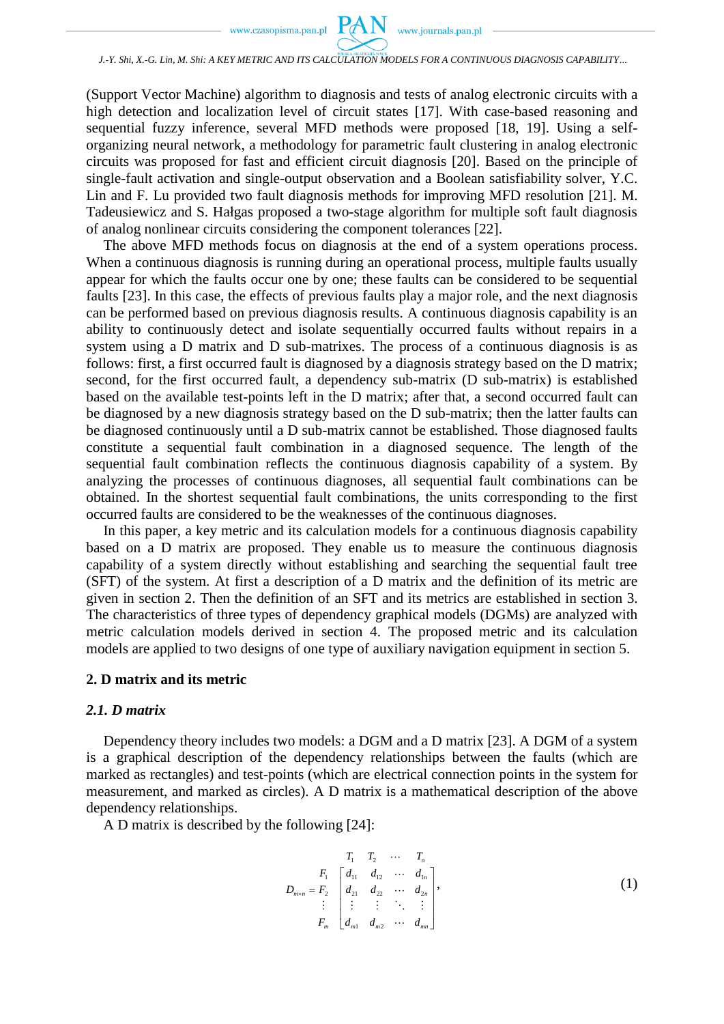

### *J.-Y. Shi, X.-G. Lin, M. Shi: A KEY METRIC AND ITS CALCULATION MODELS FOR A CONTINUOUS DIAGNOSIS CAPABILITY…*

(Support Vector Machine) algorithm to diagnosis and tests of analog electronic circuits with a high detection and localization level of circuit states [17]. With case-based reasoning and sequential fuzzy inference, several MFD methods were proposed [18, 19]. Using a selforganizing neural network, a methodology for parametric fault clustering in analog electronic circuits was proposed for fast and efficient circuit diagnosis [20]. Based on the principle of single-fault activation and single-output observation and a Boolean satisfiability solver, Y.C. Lin and F. Lu provided two fault diagnosis methods for improving MFD resolution [21]. M. Tadeusiewicz and S. Hałgas proposed a two-stage algorithm for multiple soft fault diagnosis of analog nonlinear circuits considering the component tolerances [22].

The above MFD methods focus on diagnosis at the end of a system operations process. When a continuous diagnosis is running during an operational process, multiple faults usually appear for which the faults occur one by one; these faults can be considered to be sequential faults [23]. In this case, the effects of previous faults play a major role, and the next diagnosis can be performed based on previous diagnosis results. A continuous diagnosis capability is an ability to continuously detect and isolate sequentially occurred faults without repairs in a system using a D matrix and D sub-matrixes. The process of a continuous diagnosis is as follows: first, a first occurred fault is diagnosed by a diagnosis strategy based on the D matrix; second, for the first occurred fault, a dependency sub-matrix (D sub-matrix) is established based on the available test-points left in the D matrix; after that, a second occurred fault can be diagnosed by a new diagnosis strategy based on the D sub-matrix; then the latter faults can be diagnosed continuously until a D sub-matrix cannot be established. Those diagnosed faults constitute a sequential fault combination in a diagnosed sequence. The length of the sequential fault combination reflects the continuous diagnosis capability of a system. By analyzing the processes of continuous diagnoses, all sequential fault combinations can be obtained. In the shortest sequential fault combinations, the units corresponding to the first occurred faults are considered to be the weaknesses of the continuous diagnoses.

In this paper, a key metric and its calculation models for a continuous diagnosis capability based on a D matrix are proposed. They enable us to measure the continuous diagnosis capability of a system directly without establishing and searching the sequential fault tree (SFT) of the system. At first a description of a D matrix and the definition of its metric are given in section 2. Then the definition of an SFT and its metrics are established in section 3. The characteristics of three types of dependency graphical models (DGMs) are analyzed with metric calculation models derived in section 4. The proposed metric and its calculation models are applied to two designs of one type of auxiliary navigation equipment in section 5.

#### **2. D matrix and its metric**

# *2.1. D matrix*

Dependency theory includes two models: a DGM and a D matrix [23]. A DGM of a system is a graphical description of the dependency relationships between the faults (which are marked as rectangles) and test-points (which are electrical connection points in the system for measurement, and marked as circles). A D matrix is a mathematical description of the above dependency relationships.

A D matrix is described by the following [24]:

$$
D_{m \times n} = F_1 \begin{bmatrix} T_1 & T_2 & \cdots & T_n \\ d_{11} & d_{12} & \cdots & d_{1n} \\ d_{21} & d_{22} & \cdots & d_{2n} \\ \vdots & \vdots & \vdots & \ddots & \vdots \\ d_{m1} & d_{m2} & \cdots & d_{mn} \end{bmatrix},
$$
 (1)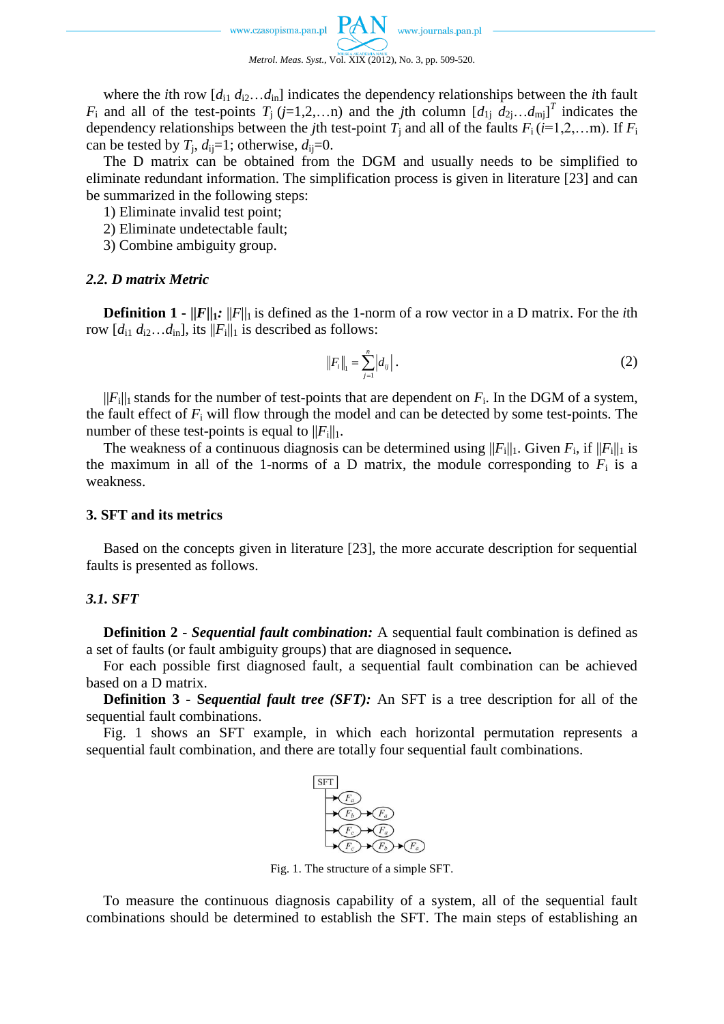where the *i*th row  $[d_{i1} d_{i2} \ldots d_{in}]$  indicates the dependency relationships between the *i*th fault *F*<sub>i</sub> and all of the test-points  $T_j$  (*j*=1,2,…n) and the *j*th column  $[d_{1j}$   $d_{2j}$ … $d_{mj}$ ]<sup>T</sup> indicates the dependency relationships between the *j*th test-point  $T_j$  and all of the faults  $F_i$  ( $i=1,2,...$ m). If  $F_i$ can be tested by  $T_j$ ,  $d_{ij} = 1$ ; otherwise,  $d_{ij} = 0$ .

The D matrix can be obtained from the DGM and usually needs to be simplified to eliminate redundant information. The simplification process is given in literature [23] and can be summarized in the following steps:

- 1) Eliminate invalid test point;
- 2) Eliminate undetectable fault;
- 3) Combine ambiguity group.

# *2.2. D matrix Metric*

**Definition 1 -**  $||F||_1$ :  $||F||_1$  is defined as the 1-norm of a row vector in a D matrix. For the *i*th row  $[d_{i1} d_{i2} \dots d_{in}]$ , its  $||F_i||_1$  is described as follows:

$$
||F_i||_1 = \sum_{j=1}^n |d_{ij}|.
$$
 (2)

 $||F_i||_1$  stands for the number of test-points that are dependent on  $F_i$ . In the DGM of a system, the fault effect of *F*<sup>i</sup> will flow through the model and can be detected by some test-points. The number of these test-points is equal to  $||F_i||_1$ .

The weakness of a continuous diagnosis can be determined using  $||F_i||_1$ . Given  $F_i$ , if  $||F_i||_1$  is the maximum in all of the 1-norms of a D matrix, the module corresponding to  $F_i$  is a weakness.

# **3. SFT and its metrics**

Based on the concepts given in literature [23], the more accurate description for sequential faults is presented as follows.

# *3.1. SFT*

**Definition 2 -** *Sequential fault combination:* A sequential fault combination is defined as a set of faults (or fault ambiguity groups) that are diagnosed in sequence**.**

For each possible first diagnosed fault, a sequential fault combination can be achieved based on a D matrix.

**Definition 3 - S***equential fault tree (SFT):* An SFT is a tree description for all of the sequential fault combinations.

Fig. 1 shows an SFT example, in which each horizontal permutation represents a sequential fault combination, and there are totally four sequential fault combinations.



Fig. 1. The structure of a simple SFT.

To measure the continuous diagnosis capability of a system, all of the sequential fault combinations should be determined to establish the SFT. The main steps of establishing an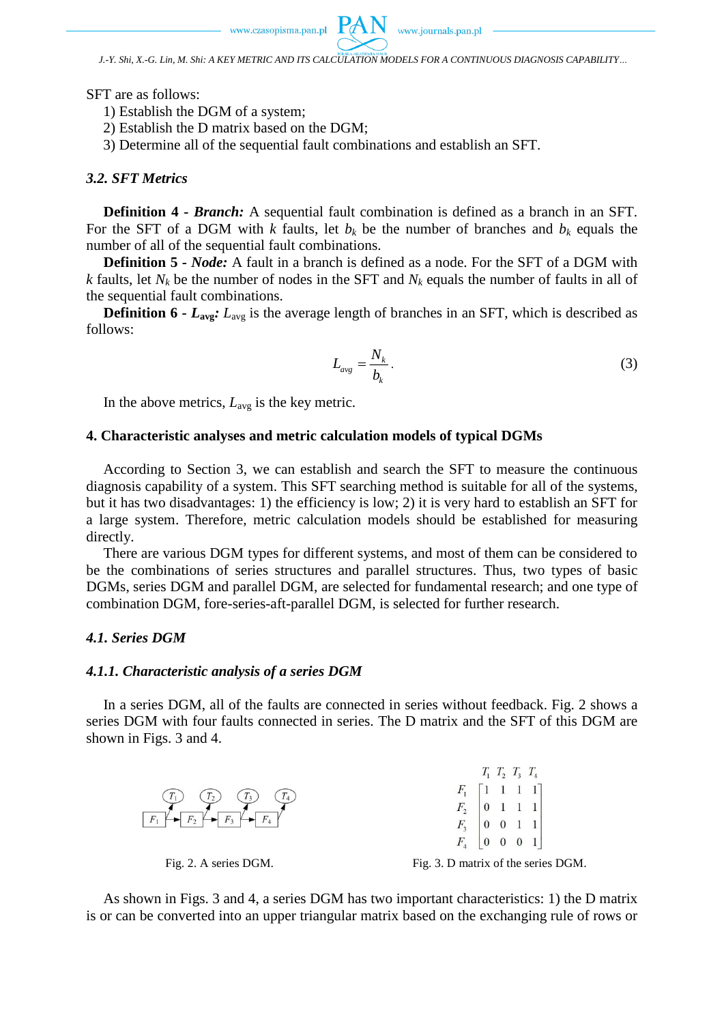

*J.-Y. Shi, X.-G. Lin, M. Shi: A KEY METRIC AND ITS CALCULATION MODELS FOR A CONTINUOUS DIAGNOSIS CAPABILITY…* 

SFT are as follows:

1) Establish the DGM of a system;

2) Establish the D matrix based on the DGM;

3) Determine all of the sequential fault combinations and establish an SFT.

### *3.2. SFT Metrics*

**Definition 4 -** *Branch:* A sequential fault combination is defined as a branch in an SFT. For the SFT of a DGM with *k* faults, let  $b_k$  be the number of branches and  $b_k$  equals the number of all of the sequential fault combinations.

**Definition 5 -** *Node:* A fault in a branch is defined as a node. For the SFT of a DGM with *k* faults, let  $N_k$  be the number of nodes in the SFT and  $N_k$  equals the number of faults in all of the sequential fault combinations.

**Definition 6 -**  $L_{\text{avg}}$ :  $L_{\text{avg}}$  is the average length of branches in an SFT, which is described as follows:

$$
L_{\text{avg}} = \frac{N_k}{b_k}.\tag{3}
$$

In the above metrics, *L*avg is the key metric.

## **4. Characteristic analyses and metric calculation models of typical DGMs**

According to Section 3, we can establish and search the SFT to measure the continuous diagnosis capability of a system. This SFT searching method is suitable for all of the systems, but it has two disadvantages: 1) the efficiency is low; 2) it is very hard to establish an SFT for a large system. Therefore, metric calculation models should be established for measuring directly.

There are various DGM types for different systems, and most of them can be considered to be the combinations of series structures and parallel structures. Thus, two types of basic DGMs, series DGM and parallel DGM, are selected for fundamental research; and one type of combination DGM, fore-series-aft-parallel DGM, is selected for further research.

### *4.1. Series DGM*

### *4.1.1. Characteristic analysis of a series DGM*

In a series DGM, all of the faults are connected in series without feedback. Fig. 2 shows a series DGM with four faults connected in series. The D matrix and the SFT of this DGM are shown in Figs. 3 and 4.



As shown in Figs. 3 and 4, a series DGM has two important characteristics: 1) the D matrix is or can be converted into an upper triangular matrix based on the exchanging rule of rows or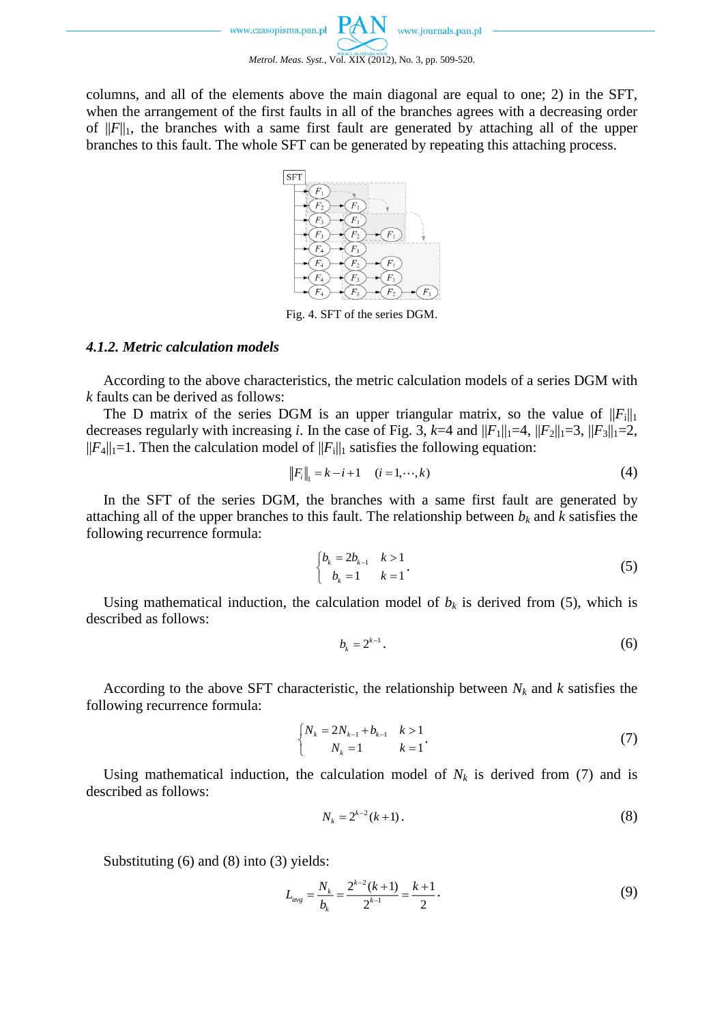www.journals.pan.pl www.czasopisma.pan.pl *Metrol. Meas. Syst.*, Vol. XIX (2012), No. 3, pp. 509-520.

columns, and all of the elements above the main diagonal are equal to one; 2) in the SFT, when the arrangement of the first faults in all of the branches agrees with a decreasing order of  $||F||_1$ , the branches with a same first fault are generated by attaching all of the upper branches to this fault. The whole SFT can be generated by repeating this attaching process.



Fig. 4. SFT of the series DGM.

### *4.1.2. Metric calculation models*

According to the above characteristics, the metric calculation models of a series DGM with *k* faults can be derived as follows:

The D matrix of the series DGM is an upper triangular matrix, so the value of  $||F_i||_1$ decreases regularly with increasing *i*. In the case of Fig. 3,  $k=4$  and  $||F_1||_1=4$ ,  $||F_2||_1=3$ ,  $||F_3||_1=2$ ,  $||F_4||_1 = 1$ . Then the calculation model of  $||F_1||_1$  satisfies the following equation:

$$
||F_i||_1 = k - i + 1 \quad (i = 1, \cdots, k)
$$
 (4)

In the SFT of the series DGM, the branches with a same first fault are generated by attaching all of the upper branches to this fault. The relationship between  $b_k$  and  $k$  satisfies the following recurrence formula:

$$
\begin{cases} b_k = 2b_{k-1} & k > 1 \\ b_k = 1 & k = 1 \end{cases} (5)
$$

Using mathematical induction, the calculation model of  $b_k$  is derived from (5), which is described as follows:

$$
b_k = 2^{k-1} \tag{6}
$$

According to the above SFT characteristic, the relationship between *N<sup>k</sup>* and *k* satisfies the following recurrence formula:

$$
\begin{cases} N_k = 2N_{k-1} + b_{k-1} & k > 1 \\ N_k = 1 & k = 1 \end{cases}.
$$
 (7)

Using mathematical induction, the calculation model of  $N_k$  is derived from (7) and is described as follows:

$$
N_k = 2^{k-2}(k+1).
$$
 (8)

Substituting (6) and (8) into (3) yields:

$$
L_{avg} = \frac{N_k}{b_k} = \frac{2^{k-2}(k+1)}{2^{k-1}} = \frac{k+1}{2}.
$$
\n(9)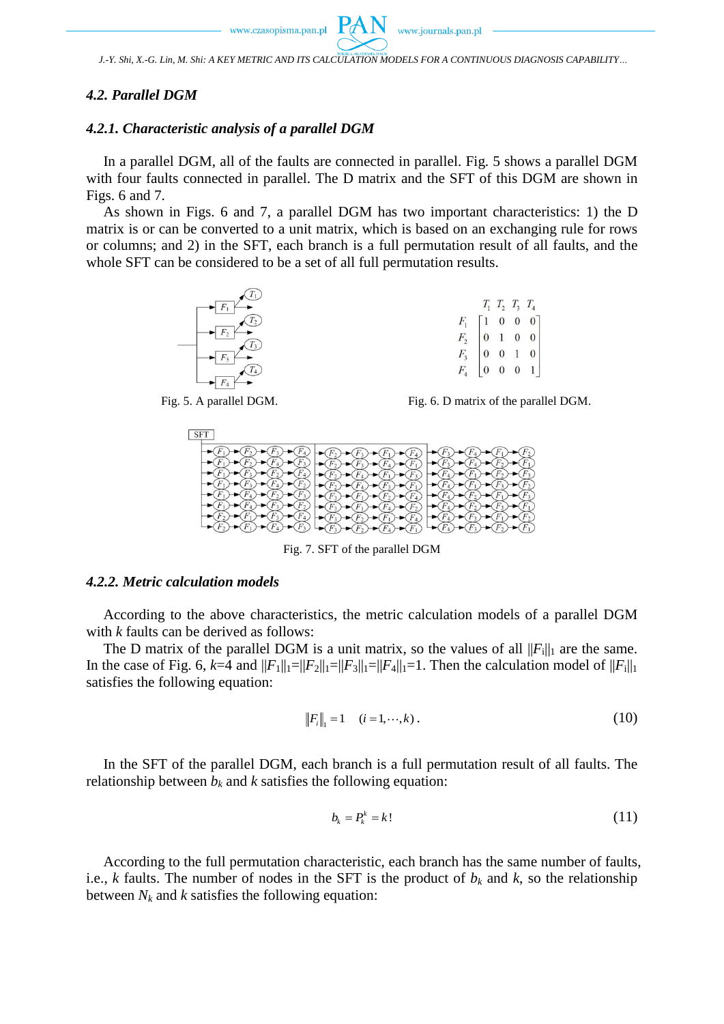*J.-Y. Shi, X.-G. Lin, M. Shi: A KEY METRIC AND ITS CALCULATION MODELS FOR A CONTINUOUS DIAGNOSIS CAPABILITY…* 

### *4.2. Parallel DGM*

### *4.2.1. Characteristic analysis of a parallel DGM*

In a parallel DGM, all of the faults are connected in parallel. Fig. 5 shows a parallel DGM with four faults connected in parallel. The D matrix and the SFT of this DGM are shown in Figs. 6 and 7.

As shown in Figs. 6 and 7, a parallel DGM has two important characteristics: 1) the D matrix is or can be converted to a unit matrix, which is based on an exchanging rule for rows or columns; and 2) in the SFT, each branch is a full permutation result of all faults, and the whole SFT can be considered to be a set of all full permutation results.



Fig. 5. A parallel DGM. Fig. 6. D matrix of the parallel DGM.



Fig. 7. SFT of the parallel DGM

## *4.2.2. Metric calculation models*

According to the above characteristics, the metric calculation models of a parallel DGM with *k* faults can be derived as follows:

The D matrix of the parallel DGM is a unit matrix, so the values of all  $||F_i||_1$  are the same. In the case of Fig. 6,  $k=4$  and  $||F_1||_1 = ||F_2||_1 = ||F_3||_1 = ||F_4||_1 = 1$ . Then the calculation model of  $||F_1||_1$ satisfies the following equation:

$$
||F_i||_1 = 1 \quad (i = 1, \cdots, k) \,. \tag{10}
$$

In the SFT of the parallel DGM, each branch is a full permutation result of all faults. The relationship between  $b_k$  and  $k$  satisfies the following equation:

$$
b_k = P_k^k = k! \tag{11}
$$

According to the full permutation characteristic, each branch has the same number of faults, i.e., *k* faults. The number of nodes in the SFT is the product of  $b_k$  and  $k$ , so the relationship between  $N_k$  and  $k$  satisfies the following equation: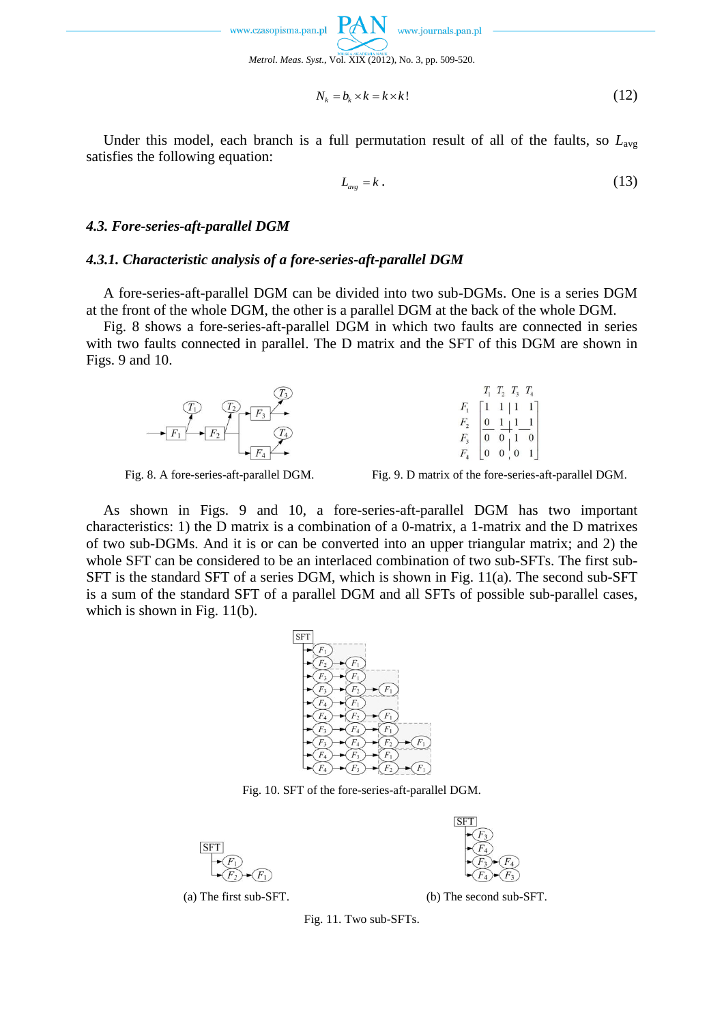

$$
N_k = b_k \times k = k \times k! \tag{12}
$$

Under this model, each branch is a full permutation result of all of the faults, so  $L_{\text{avg}}$ satisfies the following equation:

$$
L_{\text{avg}} = k \tag{13}
$$

### *4.3. Fore-series-aft-parallel DGM*

## *4.3.1. Characteristic analysis of a fore-series-aft-parallel DGM*

A fore-series-aft-parallel DGM can be divided into two sub-DGMs. One is a series DGM at the front of the whole DGM, the other is a parallel DGM at the back of the whole DGM.

Fig. 8 shows a fore-series-aft-parallel DGM in which two faults are connected in series with two faults connected in parallel. The D matrix and the SFT of this DGM are shown in Figs. 9 and 10.



| $T_{1}$          | $T_2$ $T_3$  |                | $T_{\rm A}$  |  |
|------------------|--------------|----------------|--------------|--|
| $\left(1\right)$ | 1 1          |                | $\mathbf{I}$ |  |
| $\boldsymbol{0}$ | $\mathbf{r}$ |                |              |  |
| $\boldsymbol{0}$ |              |                | $\theta$     |  |
| $\overline{0}$   | 0            | $\overline{0}$ |              |  |

Fig. 8. A fore-series-aft-parallel DGM. Fig. 9. D matrix of the fore-series-aft-parallel DGM.

As shown in Figs. 9 and 10, a fore-series-aft-parallel DGM has two important characteristics: 1) the D matrix is a combination of a 0-matrix, a 1-matrix and the D matrixes of two sub-DGMs. And it is or can be converted into an upper triangular matrix; and 2) the whole SFT can be considered to be an interlaced combination of two sub-SFTs. The first sub-SFT is the standard SFT of a series DGM, which is shown in Fig. 11(a). The second sub-SFT is a sum of the standard SFT of a parallel DGM and all SFTs of possible sub-parallel cases, which is shown in Fig. 11(b).



Fig. 10. SFT of the fore-series-aft-parallel DGM.





(a) The first sub-SFT. (b) The second sub-SFT.

Fig. 11. Two sub-SFTs.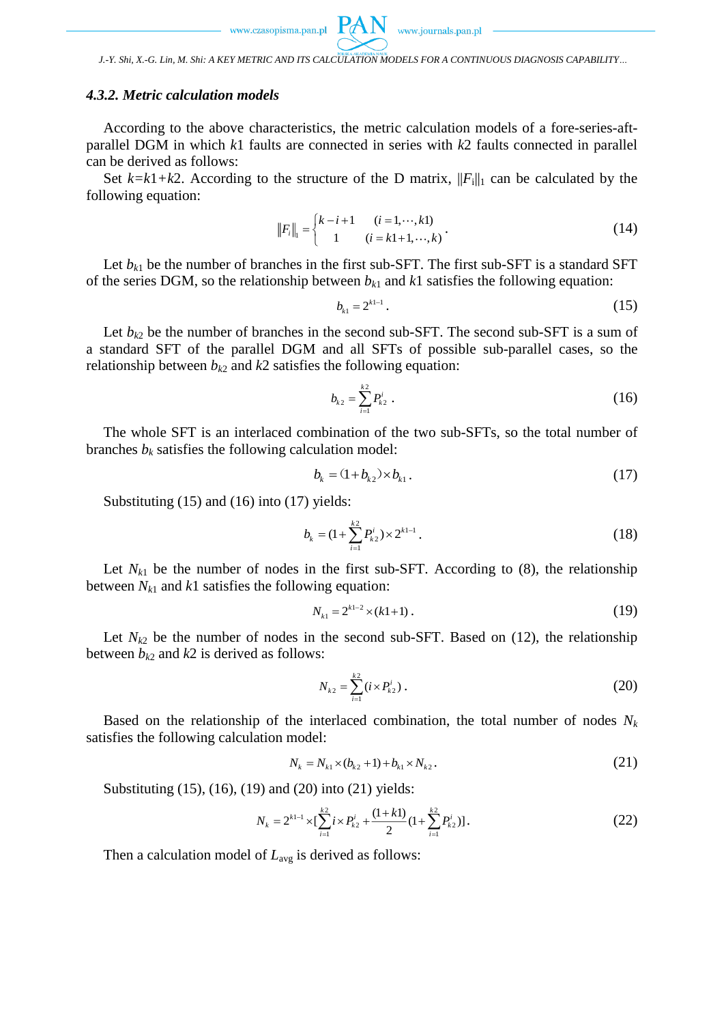

*J.-Y. Shi, X.-G. Lin, M. Shi: A KEY METRIC AND ITS CALCULATION MODELS FOR A CONTINUOUS DIAGNOSIS CAPABILITY…* 

### *4.3.2. Metric calculation models*

According to the above characteristics, the metric calculation models of a fore-series-aftparallel DGM in which *k*1 faults are connected in series with *k*2 faults connected in parallel can be derived as follows:

Set  $k=k1+k2$ . According to the structure of the D matrix,  $||F_i||_1$  can be calculated by the following equation:

$$
||F_i||_1 = \begin{cases} k - i + 1 & (i = 1, \dots, k1) \\ 1 & (i = k1 + 1, \dots, k) \end{cases} \tag{14}
$$

Let  $b_{k1}$  be the number of branches in the first sub-SFT. The first sub-SFT is a standard SFT of the series DGM, so the relationship between  $b_{k1}$  and  $k1$  satisfies the following equation:

$$
b_{k1} = 2^{k1-1} \,. \tag{15}
$$

Let  $b_{k2}$  be the number of branches in the second sub-SFT. The second sub-SFT is a sum of a standard SFT of the parallel DGM and all SFTs of possible sub-parallel cases, so the relationship between  $b_{k2}$  and  $k2$  satisfies the following equation:

$$
b_{k2} = \sum_{i=1}^{k2} P_{k2}^i \tag{16}
$$

The whole SFT is an interlaced combination of the two sub-SFTs, so the total number of branches  $b_k$  satisfies the following calculation model:

$$
b_k = (1 + b_{k2}) \times b_{k1}.
$$
 (17)

Substituting (15) and (16) into (17) yields:

$$
b_k = (1 + \sum_{i=1}^{k^2} P_{k^2}^i) \times 2^{k^{1-1}}.
$$
 (18)

Let  $N_{k1}$  be the number of nodes in the first sub-SFT. According to (8), the relationship between  $N_{k1}$  and  $k1$  satisfies the following equation:

$$
N_{k1} = 2^{k1-2} \times (k1+1) \tag{19}
$$

Let  $N_{k2}$  be the number of nodes in the second sub-SFT. Based on (12), the relationship between  $b_{k2}$  and  $k2$  is derived as follows:

$$
N_{k2} = \sum_{i=1}^{k2} (i \times P_{k2}^i) \,. \tag{20}
$$

Based on the relationship of the interlaced combination, the total number of nodes *N<sup>k</sup>* satisfies the following calculation model:

$$
N_k = N_{k1} \times (b_{k2} + 1) + b_{k1} \times N_{k2}.
$$
 (21)

Substituting (15), (16), (19) and (20) into (21) yields:

$$
N_k = 2^{k+1} \times \left[\sum_{i=1}^{k+1} i \times P_{k+1}^i + \frac{(1+k+1)}{2} (1 + \sum_{i=1}^{k+2} P_{k+1}^i) \right].
$$
 (22)

Then a calculation model of  $L_{avg}$  is derived as follows: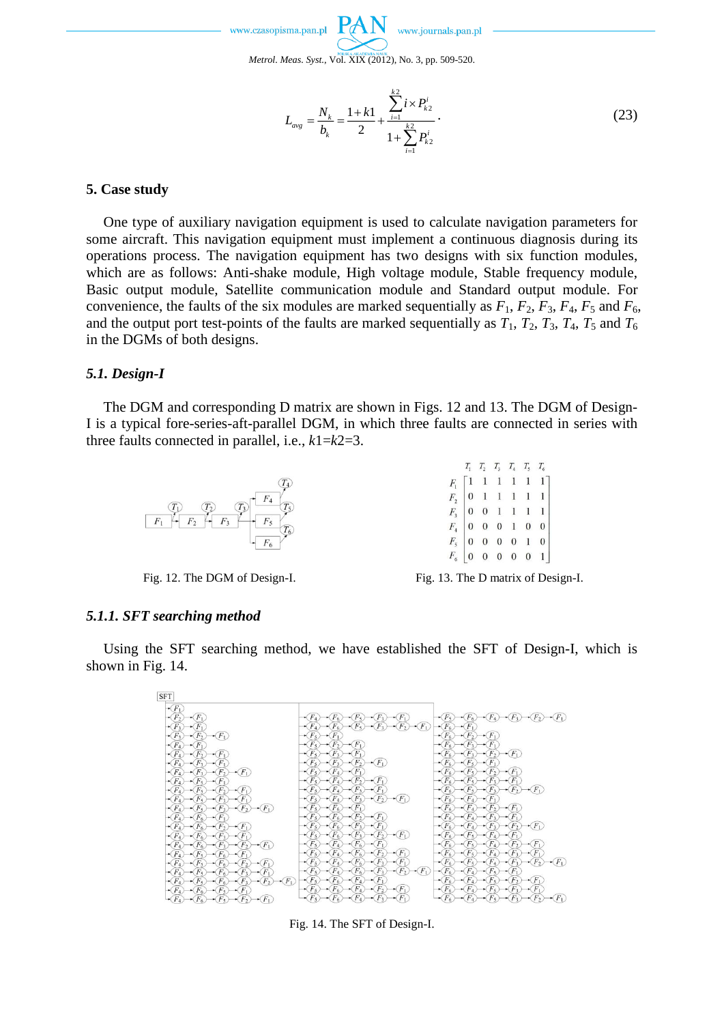

*Metrol. Meas. Syst.*, Vol. XIX (2012), No. 3, pp. 509-520.

$$
L_{avg} = \frac{N_k}{b_k} = \frac{1+k1}{2} + \frac{\sum_{i=1}^{k2} i \times P_{k2}^i}{1 + \sum_{i=1}^{k2} P_{k2}^i}.
$$
 (23)

### **5. Case study**

One type of auxiliary navigation equipment is used to calculate navigation parameters for some aircraft. This navigation equipment must implement a continuous diagnosis during its operations process. The navigation equipment has two designs with six function modules, which are as follows: Anti-shake module, High voltage module, Stable frequency module, Basic output module, Satellite communication module and Standard output module. For convenience, the faults of the six modules are marked sequentially as  $F_1$ ,  $F_2$ ,  $F_3$ ,  $F_4$ ,  $F_5$  and  $F_6$ , and the output port test-points of the faults are marked sequentially as  $T_1$ ,  $T_2$ ,  $T_3$ ,  $T_4$ ,  $T_5$  and  $T_6$ in the DGMs of both designs.

### *5.1. Design-I*

The DGM and corresponding D matrix are shown in Figs. 12 and 13. The DGM of Design-I is a typical fore-series-aft-parallel DGM, in which three faults are connected in series with three faults connected in parallel, i.e., *k*1=*k*2=3.



|                  |  | $T_1 \quad T_2 \quad T_3 \quad T_4 \quad T_5 \quad T_6$                                                                                                                            |  |  |
|------------------|--|------------------------------------------------------------------------------------------------------------------------------------------------------------------------------------|--|--|
| $F_{1}$          |  | $\begin{bmatrix} 1 & 1 & 1 & 1 & 1 & 1 \\ 0 & 1 & 1 & 1 & 1 & 1 \\ 0 & 0 & 1 & 1 & 1 & 1 \\ 0 & 0 & 0 & 1 & 0 & 0 \\ 0 & 0 & 0 & 0 & 1 & 0 \\ 0 & 0 & 0 & 0 & 0 & 1 \end{bmatrix}$ |  |  |
| $\overline{F}$ , |  |                                                                                                                                                                                    |  |  |
| $F_{3}$          |  |                                                                                                                                                                                    |  |  |
| $F_4$            |  |                                                                                                                                                                                    |  |  |
| $F_{\rm s}$      |  |                                                                                                                                                                                    |  |  |
| $F_{\epsilon}$   |  |                                                                                                                                                                                    |  |  |

Fig. 12. The DGM of Design-I. Fig. 13. The D matrix of Design-I.

### *5.1.1. SFT searching method*

Using the SFT searching method, we have established the SFT of Design-I, which is shown in Fig. 14.



Fig. 14. The SFT of Design-I.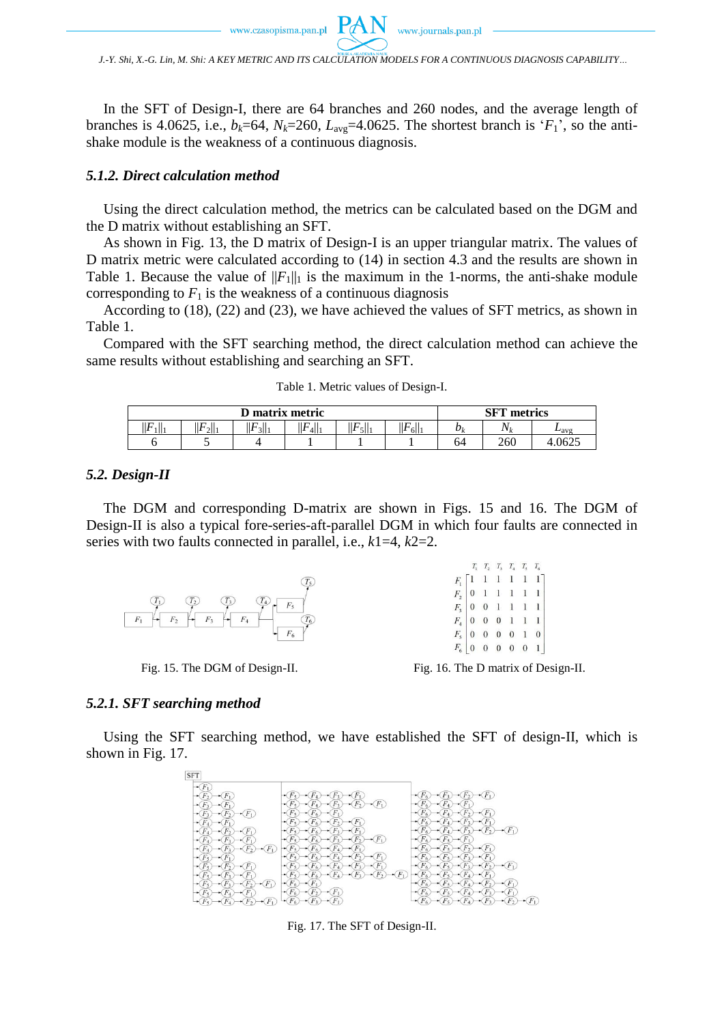*J.-Y. Shi, X.-G. Lin, M. Shi: A KEY METRIC AND ITS CALCULATION MODELS FOR A CONTINUOUS DIAGNOSIS CAPABILITY…* 

In the SFT of Design-I, there are 64 branches and 260 nodes, and the average length of branches is 4.0625, i.e.,  $b_k$ =64,  $N_k$ =260,  $L_{avg}$ =4.0625. The shortest branch is ' $F_1$ ', so the antishake module is the weakness of a continuous diagnosis.

#### *5.1.2. Direct calculation method*

Using the direct calculation method, the metrics can be calculated based on the DGM and the D matrix without establishing an SFT.

As shown in Fig. 13, the D matrix of Design-I is an upper triangular matrix. The values of D matrix metric were calculated according to (14) in section 4.3 and the results are shown in Table 1. Because the value of  $||F_1||_1$  is the maximum in the 1-norms, the anti-shake module corresponding to  $F_1$  is the weakness of a continuous diagnosis

According to (18), (22) and (23), we have achieved the values of SFT metrics, as shown in Table 1.

Compared with the SFT searching method, the direct calculation method can achieve the same results without establishing and searching an SFT.

| D matrix metric |         |                        |                      |      | <b>SFT</b> metrics |           |         |      |
|-----------------|---------|------------------------|----------------------|------|--------------------|-----------|---------|------|
| LΣ<br>111       | $2$   1 | $\cdot$ $\cdot$<br>311 | tГ.<br>ПF<br>' 411 i | 51 i | F<br>611           | $v_{\nu}$ | $N_{L}$ | ⊷avg |
|                 |         |                        |                      |      |                    | 64        | 260     | 0625 |

Table 1. Metric values of Design-I.

### *5.2. Design-II*

The DGM and corresponding D-matrix are shown in Figs. 15 and 16. The DGM of Design-II is also a typical fore-series-aft-parallel DGM in which four faults are connected in series with two faults connected in parallel, i.e., *k*1=4, *k*2=2.



Fig. 15. The DGM of Design-II. Fig. 16. The D matrix of Design-II.

#### *5.2.1. SFT searching method*

Using the SFT searching method, we have established the SFT of design-II, which is shown in Fig. 17.



Fig. 17. The SFT of Design-II.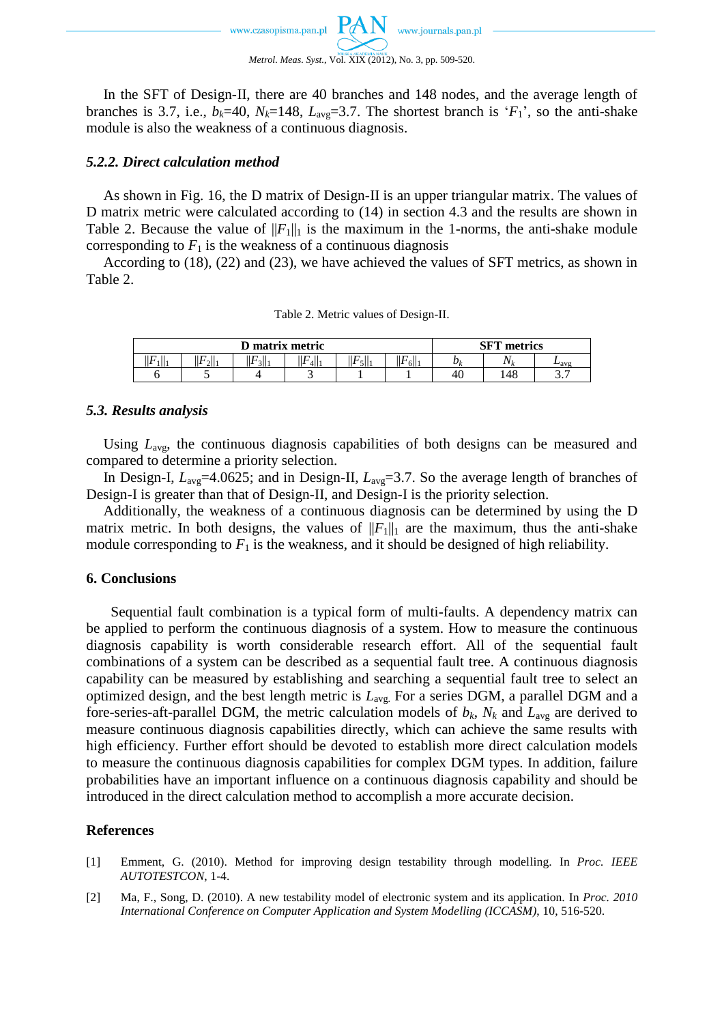In the SFT of Design-II, there are 40 branches and 148 nodes, and the average length of branches is 3.7, i.e.,  $b_k$ =40,  $N_k$ =148,  $L_{\text{avg}}$ =3.7. The shortest branch is ' $F_1$ ', so the anti-shake module is also the weakness of a continuous diagnosis.

# *5.2.2. Direct calculation method*

As shown in Fig. 16, the D matrix of Design-II is an upper triangular matrix. The values of D matrix metric were calculated according to (14) in section 4.3 and the results are shown in Table 2. Because the value of  $||F_1||_1$  is the maximum in the 1-norms, the anti-shake module corresponding to  $F_1$  is the weakness of a continuous diagnosis

According to (18), (22) and (23), we have achieved the values of SFT metrics, as shown in Table 2.

| Table 2. Metric values of Design-II. |  |  |  |  |  |
|--------------------------------------|--|--|--|--|--|
|--------------------------------------|--|--|--|--|--|

| D matrix metric |      |                         |           |        | CET<br>metrics<br>эг |    |     |                      |
|-----------------|------|-------------------------|-----------|--------|----------------------|----|-----|----------------------|
| F<br>1  1<br>Ш  | 2  1 | $\mathbb{F}$<br>$3$   1 | F<br>4  1 | <br>эш | . F<br>6  1<br>┅     | υı | N   | $L_{\rm avg}$        |
|                 | ັ    |                         |           |        |                      | 40 | 148 | $\sim$ $\sim$<br>، ب |

# *5.3. Results analysis*

Using *L*avg, the continuous diagnosis capabilities of both designs can be measured and compared to determine a priority selection.

In Design-I,  $L_{avg}$ =4.0625; and in Design-II,  $L_{avg}$ =3.7. So the average length of branches of Design-I is greater than that of Design-II, and Design-I is the priority selection.

Additionally, the weakness of a continuous diagnosis can be determined by using the D matrix metric. In both designs, the values of  $||F_1||_1$  are the maximum, thus the anti-shake module corresponding to  $F_1$  is the weakness, and it should be designed of high reliability.

# **6. Conclusions**

Sequential fault combination is a typical form of multi-faults. A dependency matrix can be applied to perform the continuous diagnosis of a system. How to measure the continuous diagnosis capability is worth considerable research effort. All of the sequential fault combinations of a system can be described as a sequential fault tree. A continuous diagnosis capability can be measured by establishing and searching a sequential fault tree to select an optimized design, and the best length metric is *L*avg. For a series DGM, a parallel DGM and a fore-series-aft-parallel DGM, the metric calculation models of  $b_k$ ,  $N_k$  and  $L_{avg}$  are derived to measure continuous diagnosis capabilities directly, which can achieve the same results with high efficiency. Further effort should be devoted to establish more direct calculation models to measure the continuous diagnosis capabilities for complex DGM types. In addition, failure probabilities have an important influence on a continuous diagnosis capability and should be introduced in the direct calculation method to accomplish a more accurate decision.

# **References**

- [1] Emment, G. (2010). Method for improving design testability through modelling. In *Proc. IEEE AUTOTESTCON*, 1-4.
- [2] Ma, F., Song, D. (2010). A new testability model of electronic system and its application. In *Proc. 2010 International Conference on Computer Application and System Modelling (ICCASM)*, 10, 516-520.